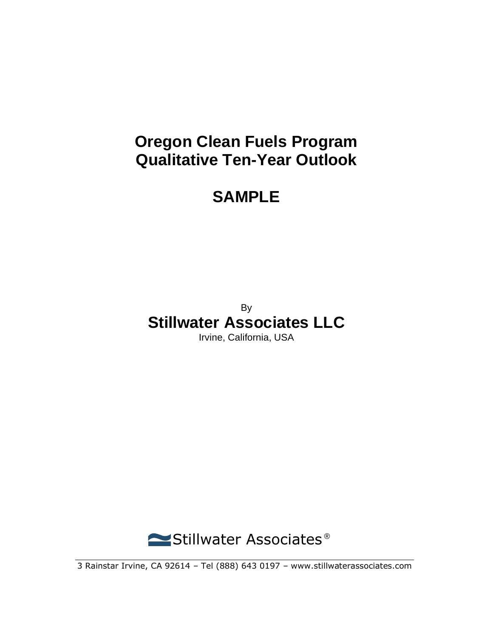## **Oregon Clean Fuels Program Qualitative Ten-Year Outlook**

## **SAMPLE**

By

# **Stillwater Associates LLC**

Irvine, California, USA



3 Rainstar Irvine, CA 92614 – Tel (888) 643 0197 – www.stillwaterassociates.com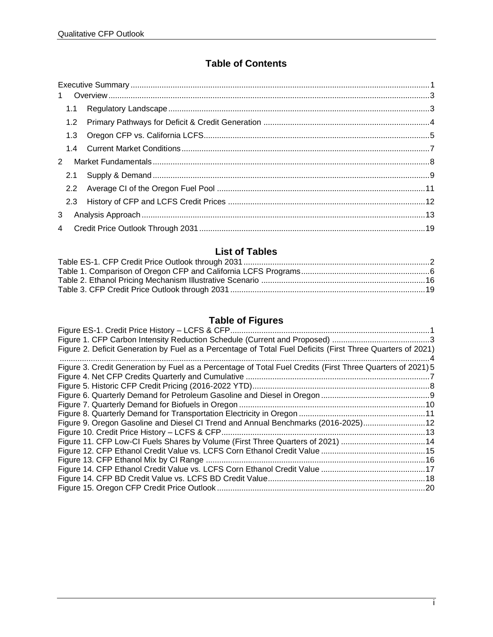#### **Table of Contents**

| $\mathbf{1}$ |  |  |  |  |  |
|--------------|--|--|--|--|--|
|              |  |  |  |  |  |
|              |  |  |  |  |  |
| 1.3          |  |  |  |  |  |
|              |  |  |  |  |  |
| 2            |  |  |  |  |  |
|              |  |  |  |  |  |
|              |  |  |  |  |  |
|              |  |  |  |  |  |
| 3            |  |  |  |  |  |
|              |  |  |  |  |  |

#### **List of Tables**

### **Table of Figures**

| Figure 2. Deficit Generation by Fuel as a Percentage of Total Fuel Deficits (First Three Quarters of 2021) |  |
|------------------------------------------------------------------------------------------------------------|--|
|                                                                                                            |  |
| Figure 3. Credit Generation by Fuel as a Percentage of Total Fuel Credits (First Three Quarters of 2021) 5 |  |
|                                                                                                            |  |
|                                                                                                            |  |
|                                                                                                            |  |
|                                                                                                            |  |
|                                                                                                            |  |
| Figure 9. Oregon Gasoline and Diesel CI Trend and Annual Benchmarks (2016-2025) 12                         |  |
|                                                                                                            |  |
| Figure 11. CFP Low-CI Fuels Shares by Volume (First Three Quarters of 2021) 14                             |  |
|                                                                                                            |  |
|                                                                                                            |  |
|                                                                                                            |  |
|                                                                                                            |  |
|                                                                                                            |  |
|                                                                                                            |  |